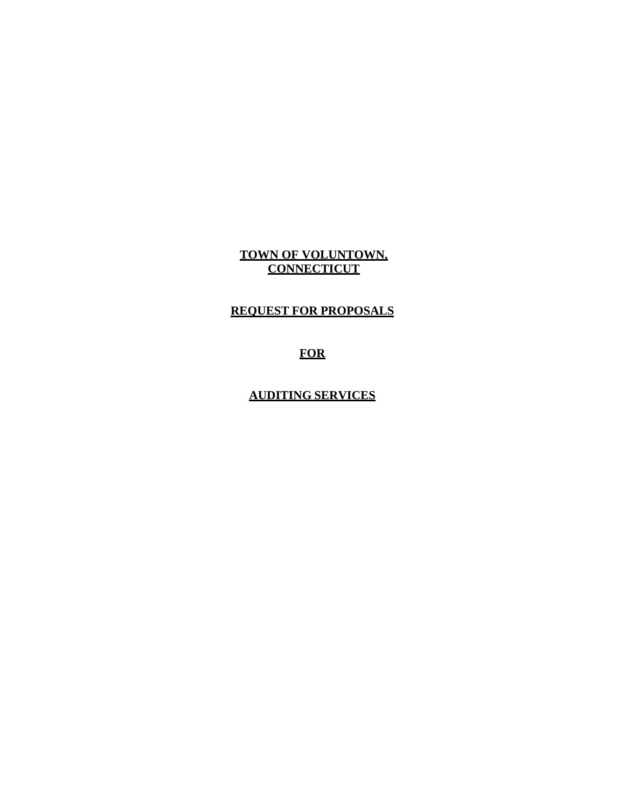**TOWN OF VOLUNTOWN, CONNECTICUT**

**REQUEST FOR PROPOSALS**

**AUDITING SERVICES**

**FOR**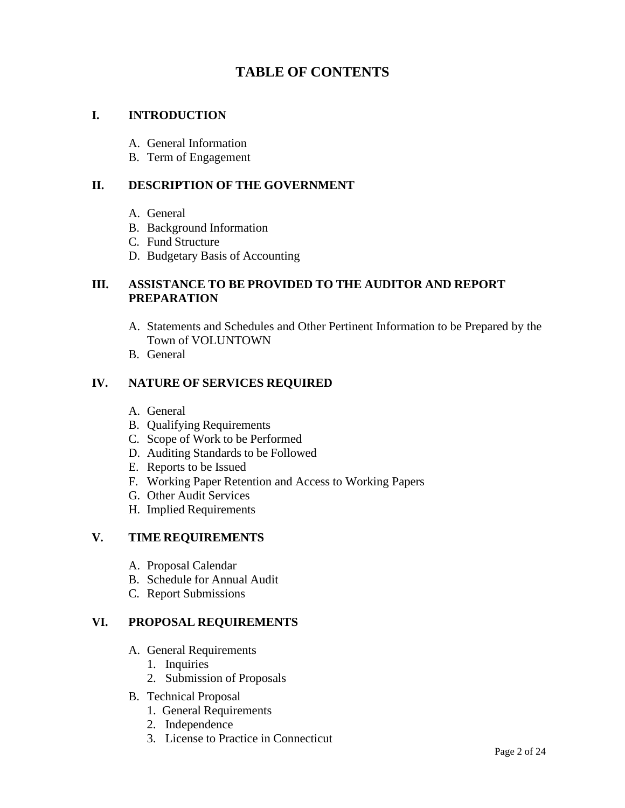# **TABLE OF CONTENTS**

# **I. INTRODUCTION**

- A. General Information
- B. Term of Engagement

#### **II. DESCRIPTION OF THE GOVERNMENT**

- A. General
- B. Background Information
- C. Fund Structure
- D. Budgetary Basis of Accounting

### **III. ASSISTANCE TO BE PROVIDED TO THE AUDITOR AND REPORT PREPARATION**

- A. Statements and Schedules and Other Pertinent Information to be Prepared by the Town of VOLUNTOWN
- B. General

### **IV. NATURE OF SERVICES REQUIRED**

- A. General
- B. Qualifying Requirements
- C. Scope of Work to be Performed
- D. Auditing Standards to be Followed
- E. Reports to be Issued
- F. Working Paper Retention and Access to Working Papers
- G. Other Audit Services
- H. Implied Requirements

# **V. TIME REQUIREMENTS**

- A. Proposal Calendar
- B. Schedule for Annual Audit
- C. Report Submissions

#### **VI. PROPOSAL REQUIREMENTS**

- A. General Requirements
	- 1. Inquiries
	- 2. Submission of Proposals
- B. Technical Proposal
	- 1. General Requirements
	- 2. Independence
	- 3. License to Practice in Connecticut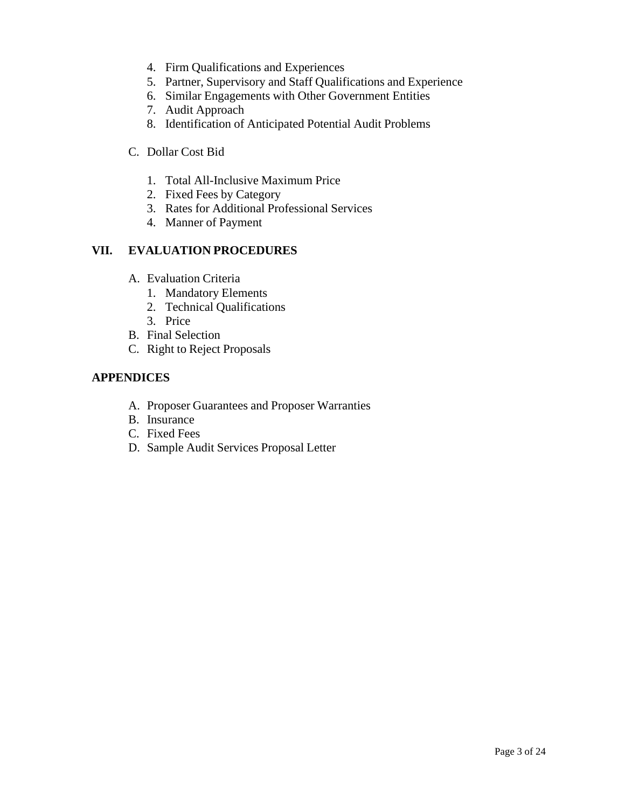- 4. Firm Qualifications and Experiences
- 5. Partner, Supervisory and Staff Qualifications and Experience
- 6. Similar Engagements with Other Government Entities
- 7. Audit Approach
- 8. Identification of Anticipated Potential Audit Problems
- C. Dollar Cost Bid
	- 1. Total All-Inclusive Maximum Price
	- 2. Fixed Fees by Category
	- 3. Rates for Additional Professional Services
	- 4. Manner of Payment

### **VII. EVALUATION PROCEDURES**

- A. Evaluation Criteria
	- 1. Mandatory Elements
	- 2. Technical Qualifications
	- 3. Price
- B. Final Selection
- C. Right to Reject Proposals

### **APPENDICES**

- A. Proposer Guarantees and Proposer Warranties
- B. Insurance
- C. Fixed Fees
- D. Sample Audit Services Proposal Letter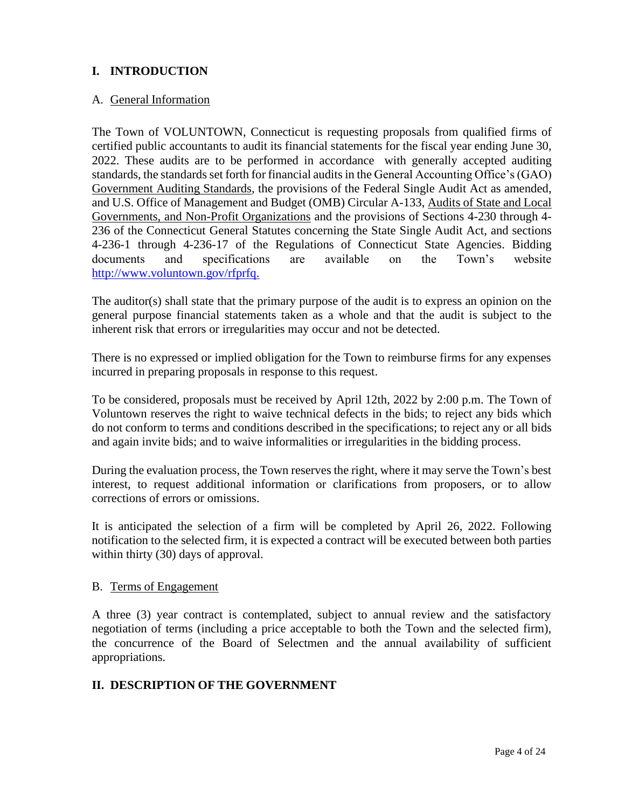# **I. INTRODUCTION**

### A. General Information

The Town of VOLUNTOWN, Connecticut is requesting proposals from qualified firms of certified public accountants to audit its financial statements for the fiscal year ending June 30, 2022. These audits are to be performed in accordance with generally accepted auditing standards, the standards set forth for financial audits in the General Accounting Office's (GAO) Government Auditing Standards, the provisions of the Federal Single Audit Act as amended, and U.S. Office of Management and Budget (OMB) Circular A-133, Audits of State and Local Governments, and Non-Profit Organizations and the provisions of Sections 4-230 through 4- 236 of the Connecticut General Statutes concerning the State Single Audit Act, and sections 4-236-1 through 4-236-17 of the Regulations of Connecticut State Agencies. Bidding documents and specifications are available on the Town's website [http://www.voluntown.gov/r](http://voluntown.gov/)fprfq.

The auditor(s) shall state that the primary purpose of the audit is to express an opinion on the general purpose financial statements taken as a whole and that the audit is subject to the inherent risk that errors or irregularities may occur and not be detected.

There is no expressed or implied obligation for the Town to reimburse firms for any expenses incurred in preparing proposals in response to this request.

To be considered, proposals must be received by April 12th, 2022 by 2:00 p.m. The Town of Voluntown reserves the right to waive technical defects in the bids; to reject any bids which do not conform to terms and conditions described in the specifications; to reject any or all bids and again invite bids; and to waive informalities or irregularities in the bidding process.

During the evaluation process, the Town reserves the right, where it may serve the Town's best interest, to request additional information or clarifications from proposers, or to allow corrections of errors or omissions.

It is anticipated the selection of a firm will be completed by April 26, 2022. Following notification to the selected firm, it is expected a contract will be executed between both parties within thirty (30) days of approval.

#### B. Terms of Engagement

A three (3) year contract is contemplated, subject to annual review and the satisfactory negotiation of terms (including a price acceptable to both the Town and the selected firm), the concurrence of the Board of Selectmen and the annual availability of sufficient appropriations.

# **II. DESCRIPTION OF THE GOVERNMENT**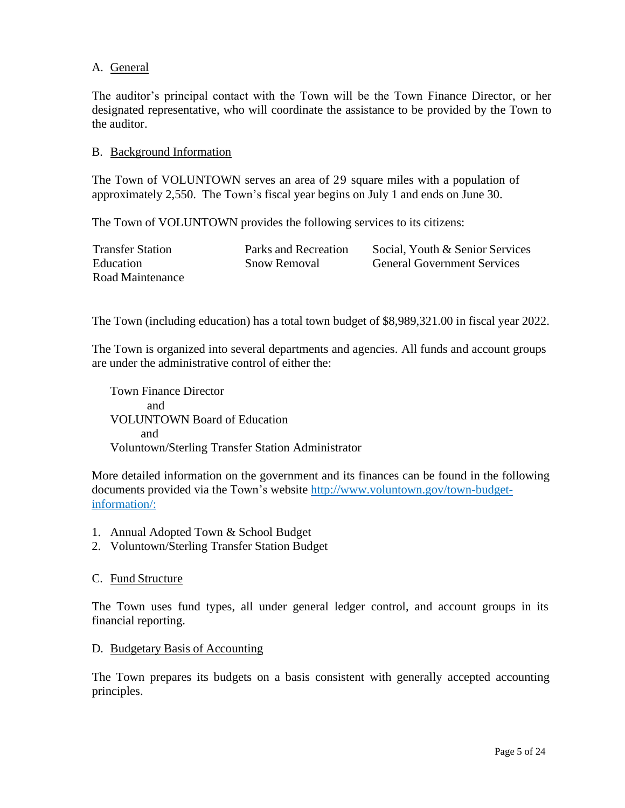### A. General

The auditor's principal contact with the Town will be the Town Finance Director, or her designated representative, who will coordinate the assistance to be provided by the Town to the auditor.

#### B. Background Information

The Town of VOLUNTOWN serves an area of 29 square miles with a population of approximately 2,550. The Town's fiscal year begins on July 1 and ends on June 30.

The Town of VOLUNTOWN provides the following services to its citizens:

| <b>Transfer Station</b> | Parks and Recreation | Social, Youth & Senior Services    |
|-------------------------|----------------------|------------------------------------|
| Education               | <b>Snow Removal</b>  | <b>General Government Services</b> |
| Road Maintenance        |                      |                                    |

The Town (including education) has a total town budget of \$8,989,321.00 in fiscal year 2022.

The Town is organized into several departments and agencies. All funds and account groups are under the administrative control of either the:

Town Finance Director and VOLUNTOWN Board of Education and Voluntown/Sterling Transfer Station Administrator

More detailed information on the government and its finances can be found in the following documents provided via the Town's website [http://www.voluntown.gov/town-budget](http://www.voluntown.gov/)[information/:](http://www.voluntown.gov/)

- 1. Annual Adopted Town & School Budget
- 2. Voluntown/Sterling Transfer Station Budget

#### C. Fund Structure

The Town uses fund types, all under general ledger control, and account groups in its financial reporting.

#### D. Budgetary Basis of Accounting

The Town prepares its budgets on a basis consistent with generally accepted accounting principles.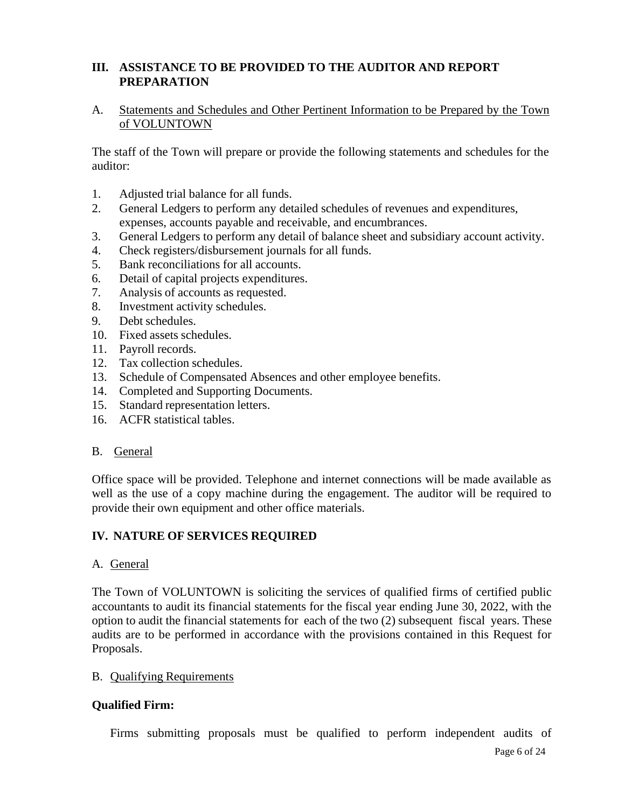# **III. ASSISTANCE TO BE PROVIDED TO THE AUDITOR AND REPORT PREPARATION**

### A. Statements and Schedules and Other Pertinent Information to be Prepared by the Town of VOLUNTOWN

The staff of the Town will prepare or provide the following statements and schedules for the auditor:

- 1. Adjusted trial balance for all funds.
- 2. General Ledgers to perform any detailed schedules of revenues and expenditures, expenses, accounts payable and receivable, and encumbrances.
- 3. General Ledgers to perform any detail of balance sheet and subsidiary account activity.
- 4. Check registers/disbursement journals for all funds.
- 5. Bank reconciliations for all accounts.
- 6. Detail of capital projects expenditures.
- 7. Analysis of accounts as requested.
- 8. Investment activity schedules.
- 9. Debt schedules.
- 10. Fixed assets schedules.
- 11. Payroll records.
- 12. Tax collection schedules.
- 13. Schedule of Compensated Absences and other employee benefits.
- 14. Completed and Supporting Documents.
- 15. Standard representation letters.
- 16. ACFR statistical tables.

#### B. General

Office space will be provided. Telephone and internet connections will be made available as well as the use of a copy machine during the engagement. The auditor will be required to provide their own equipment and other office materials.

# **IV. NATURE OF SERVICES REQUIRED**

#### A. General

The Town of VOLUNTOWN is soliciting the services of qualified firms of certified public accountants to audit its financial statements for the fiscal year ending June 30, 2022, with the option to audit the financial statements for each of the two (2) subsequent fiscal years. These audits are to be performed in accordance with the provisions contained in this Request for Proposals.

#### B. Qualifying Requirements

# **Qualified Firm:**

Firms submitting proposals must be qualified to perform independent audits of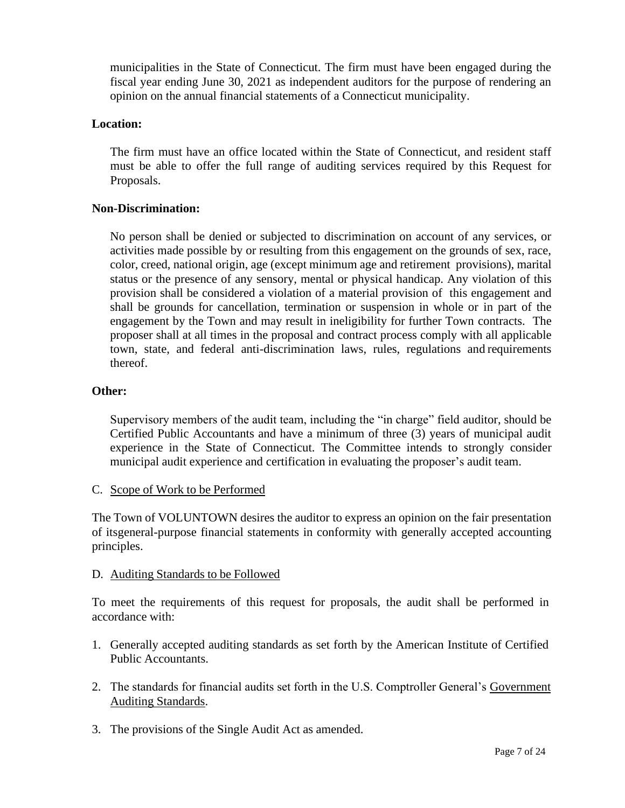municipalities in the State of Connecticut. The firm must have been engaged during the fiscal year ending June 30, 2021 as independent auditors for the purpose of rendering an opinion on the annual financial statements of a Connecticut municipality.

### **Location:**

The firm must have an office located within the State of Connecticut, and resident staff must be able to offer the full range of auditing services required by this Request for Proposals.

#### **Non-Discrimination:**

No person shall be denied or subjected to discrimination on account of any services, or activities made possible by or resulting from this engagement on the grounds of sex, race, color, creed, national origin, age (except minimum age and retirement provisions), marital status or the presence of any sensory, mental or physical handicap. Any violation of this provision shall be considered a violation of a material provision of this engagement and shall be grounds for cancellation, termination or suspension in whole or in part of the engagement by the Town and may result in ineligibility for further Town contracts. The proposer shall at all times in the proposal and contract process comply with all applicable town, state, and federal anti-discrimination laws, rules, regulations and requirements thereof.

#### **Other:**

Supervisory members of the audit team, including the "in charge" field auditor, should be Certified Public Accountants and have a minimum of three (3) years of municipal audit experience in the State of Connecticut. The Committee intends to strongly consider municipal audit experience and certification in evaluating the proposer's audit team.

#### C. Scope of Work to be Performed

The Town of VOLUNTOWN desires the auditor to express an opinion on the fair presentation of itsgeneral-purpose financial statements in conformity with generally accepted accounting principles.

#### D. Auditing Standards to be Followed

To meet the requirements of this request for proposals, the audit shall be performed in accordance with:

- 1. Generally accepted auditing standards as set forth by the American Institute of Certified Public Accountants.
- 2. The standards for financial audits set forth in the U.S. Comptroller General's Government Auditing Standards.
- 3. The provisions of the Single Audit Act as amended.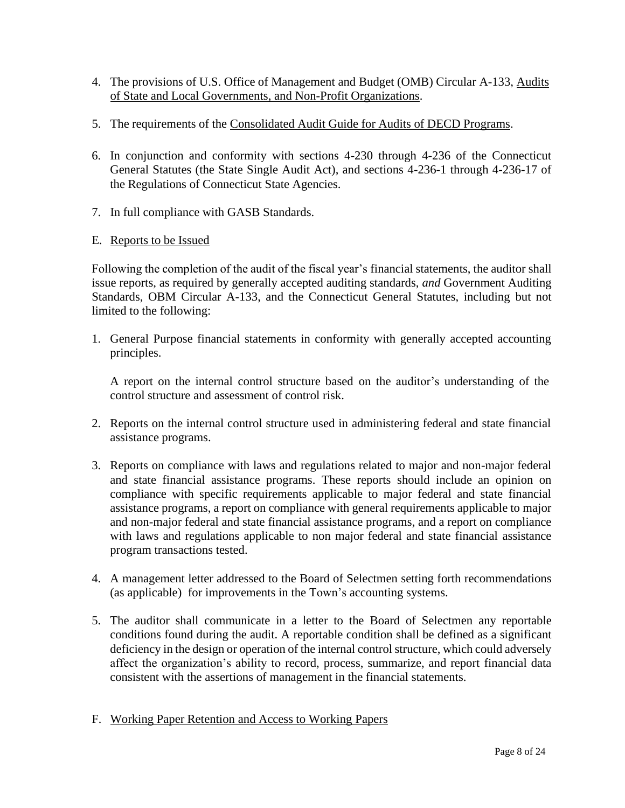- 4. The provisions of U.S. Office of Management and Budget (OMB) Circular A-133, Audits of State and Local Governments, and Non-Profit Organizations.
- 5. The requirements of the Consolidated Audit Guide for Audits of DECD Programs.
- 6. In conjunction and conformity with sections 4-230 through 4-236 of the Connecticut General Statutes (the State Single Audit Act), and sections 4-236-1 through 4-236-17 of the Regulations of Connecticut State Agencies.
- 7. In full compliance with GASB Standards.
- E. Reports to be Issued

Following the completion of the audit of the fiscal year's financial statements, the auditor shall issue reports, as required by generally accepted auditing standards, *and* Government Auditing Standards, OBM Circular A-133, and the Connecticut General Statutes, including but not limited to the following:

1. General Purpose financial statements in conformity with generally accepted accounting principles.

A report on the internal control structure based on the auditor's understanding of the control structure and assessment of control risk.

- 2. Reports on the internal control structure used in administering federal and state financial assistance programs.
- 3. Reports on compliance with laws and regulations related to major and non-major federal and state financial assistance programs. These reports should include an opinion on compliance with specific requirements applicable to major federal and state financial assistance programs, a report on compliance with general requirements applicable to major and non-major federal and state financial assistance programs, and a report on compliance with laws and regulations applicable to non major federal and state financial assistance program transactions tested.
- 4. A management letter addressed to the Board of Selectmen setting forth recommendations (as applicable) for improvements in the Town's accounting systems.
- 5. The auditor shall communicate in a letter to the Board of Selectmen any reportable conditions found during the audit. A reportable condition shall be defined as a significant deficiency in the design or operation of the internal control structure, which could adversely affect the organization's ability to record, process, summarize, and report financial data consistent with the assertions of management in the financial statements.
- F. Working Paper Retention and Access to Working Papers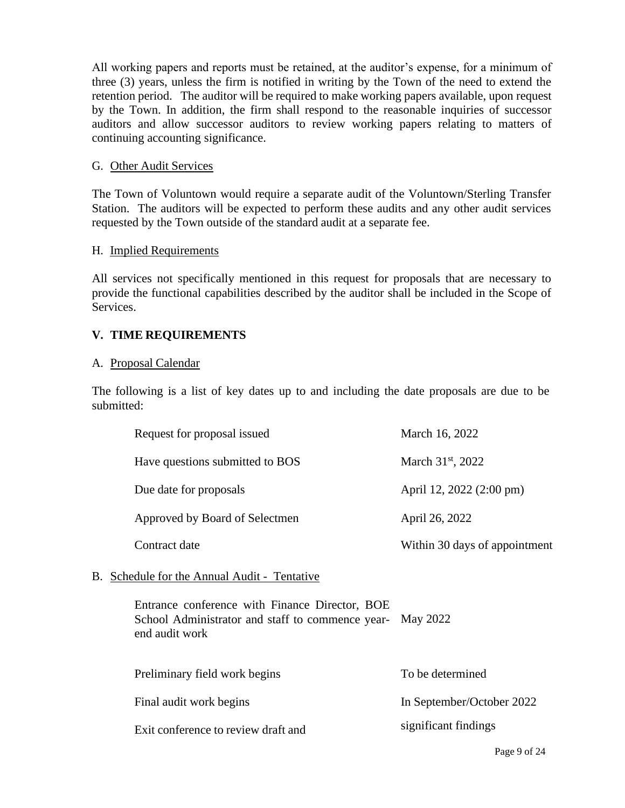All working papers and reports must be retained, at the auditor's expense, for a minimum of three (3) years, unless the firm is notified in writing by the Town of the need to extend the retention period. The auditor will be required to make working papers available, upon request by the Town. In addition, the firm shall respond to the reasonable inquiries of successor auditors and allow successor auditors to review working papers relating to matters of continuing accounting significance.

### G. Other Audit Services

The Town of Voluntown would require a separate audit of the Voluntown/Sterling Transfer Station. The auditors will be expected to perform these audits and any other audit services requested by the Town outside of the standard audit at a separate fee.

#### H. Implied Requirements

All services not specifically mentioned in this request for proposals that are necessary to provide the functional capabilities described by the auditor shall be included in the Scope of Services.

# **V. TIME REQUIREMENTS**

#### A. Proposal Calendar

The following is a list of key dates up to and including the date proposals are due to be submitted:

|  | Request for proposal issued                                                                                          | March 16, 2022                |
|--|----------------------------------------------------------------------------------------------------------------------|-------------------------------|
|  | Have questions submitted to BOS                                                                                      | March $31^{st}$ , 2022        |
|  | Due date for proposals                                                                                               | April 12, 2022 (2:00 pm)      |
|  | Approved by Board of Selectmen                                                                                       | April 26, 2022                |
|  | Contract date                                                                                                        | Within 30 days of appointment |
|  | B. Schedule for the Annual Audit - Tentative                                                                         |                               |
|  | Entrance conference with Finance Director, BOE<br>School Administrator and staff to commence year-<br>end audit work | May 2022                      |
|  | Preliminary field work begins                                                                                        | To be determined              |
|  | Final audit work begins                                                                                              | In September/October 2022     |
|  | Exit conference to review draft and                                                                                  | significant findings          |
|  |                                                                                                                      | Page 9 of 24                  |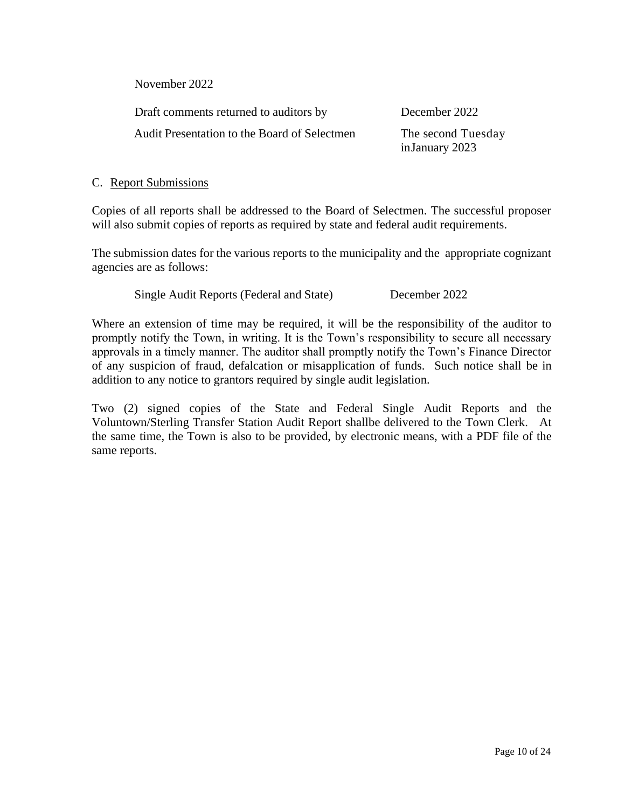November 2022

Draft comments returned to auditors by December 2022 Audit Presentation to the Board of Selectmen The second Tuesday

in January 2023

### C. Report Submissions

Copies of all reports shall be addressed to the Board of Selectmen. The successful proposer will also submit copies of reports as required by state and federal audit requirements.

The submission dates for the various reports to the municipality and the appropriate cognizant agencies are as follows:

Single Audit Reports (Federal and State) December 2022

Where an extension of time may be required, it will be the responsibility of the auditor to promptly notify the Town, in writing. It is the Town's responsibility to secure all necessary approvals in a timely manner. The auditor shall promptly notify the Town's Finance Director of any suspicion of fraud, defalcation or misapplication of funds. Such notice shall be in addition to any notice to grantors required by single audit legislation.

Two (2) signed copies of the State and Federal Single Audit Reports and the Voluntown/Sterling Transfer Station Audit Report shallbe delivered to the Town Clerk. At the same time, the Town is also to be provided, by electronic means, with a PDF file of the same reports.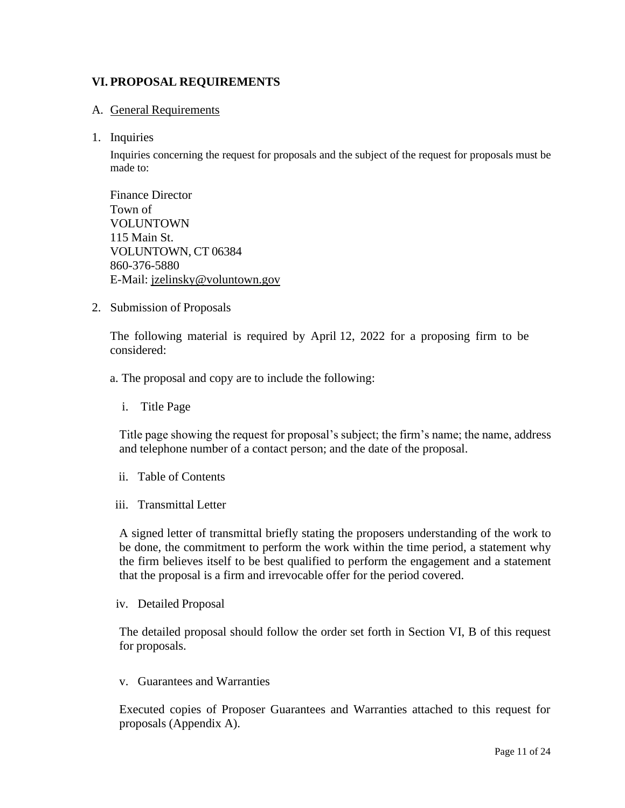# **VI. PROPOSAL REQUIREMENTS**

#### A. General Requirements

#### 1. Inquiries

Inquiries concerning the request for proposals and the subject of the request for proposals must be made to:

Finance Director Town of VOLUNTOWN 115 Main St. VOLUNTOWN, CT 06384 860-376-5880 E-Mail: jzelinsky@voluntown.gov

2. Submission of Proposals

The following material is required by April 12, 2022 for a proposing firm to be considered:

a. The proposal and copy are to include the following:

i. Title Page

Title page showing the request for proposal's subject; the firm's name; the name, address and telephone number of a contact person; and the date of the proposal.

- ii. Table of Contents
- iii. Transmittal Letter

A signed letter of transmittal briefly stating the proposers understanding of the work to be done, the commitment to perform the work within the time period, a statement why the firm believes itself to be best qualified to perform the engagement and a statement that the proposal is a firm and irrevocable offer for the period covered.

iv. Detailed Proposal

The detailed proposal should follow the order set forth in Section VI, B of this request for proposals.

v. Guarantees and Warranties

Executed copies of Proposer Guarantees and Warranties attached to this request for proposals (Appendix A).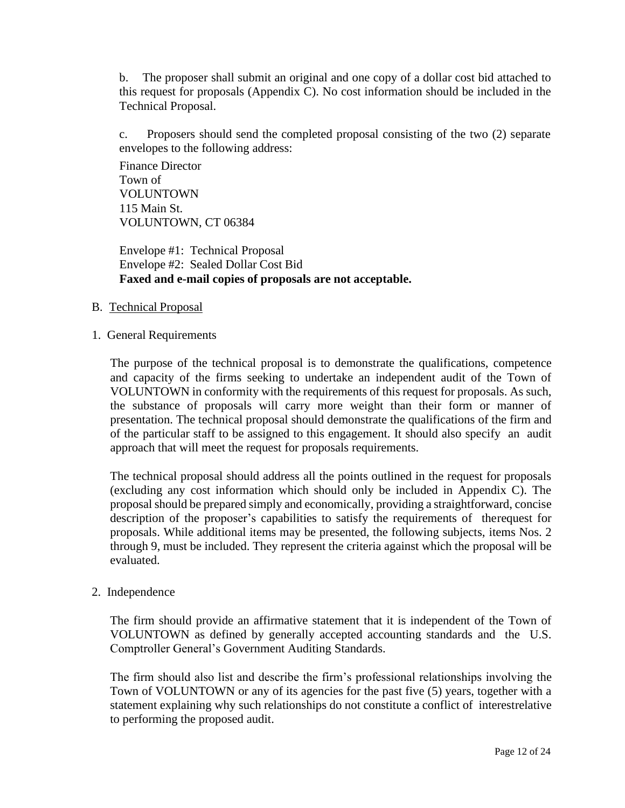b. The proposer shall submit an original and one copy of a dollar cost bid attached to this request for proposals (Appendix C). No cost information should be included in the Technical Proposal.

c. Proposers should send the completed proposal consisting of the two (2) separate envelopes to the following address:

Finance Director Town of VOLUNTOWN 115 Main St. VOLUNTOWN, CT 06384

Envelope #1: Technical Proposal Envelope #2: Sealed Dollar Cost Bid **Faxed and e-mail copies of proposals are not acceptable.**

#### B. Technical Proposal

#### 1. General Requirements

The purpose of the technical proposal is to demonstrate the qualifications, competence and capacity of the firms seeking to undertake an independent audit of the Town of VOLUNTOWN in conformity with the requirements of this request for proposals. As such, the substance of proposals will carry more weight than their form or manner of presentation. The technical proposal should demonstrate the qualifications of the firm and of the particular staff to be assigned to this engagement. It should also specify an audit approach that will meet the request for proposals requirements.

The technical proposal should address all the points outlined in the request for proposals (excluding any cost information which should only be included in Appendix C). The proposal should be prepared simply and economically, providing a straightforward, concise description of the proposer's capabilities to satisfy the requirements of therequest for proposals. While additional items may be presented, the following subjects, items Nos. 2 through 9, must be included. They represent the criteria against which the proposal will be evaluated.

#### 2. Independence

The firm should provide an affirmative statement that it is independent of the Town of VOLUNTOWN as defined by generally accepted accounting standards and the U.S. Comptroller General's Government Auditing Standards.

The firm should also list and describe the firm's professional relationships involving the Town of VOLUNTOWN or any of its agencies for the past five (5) years, together with a statement explaining why such relationships do not constitute a conflict of interestrelative to performing the proposed audit.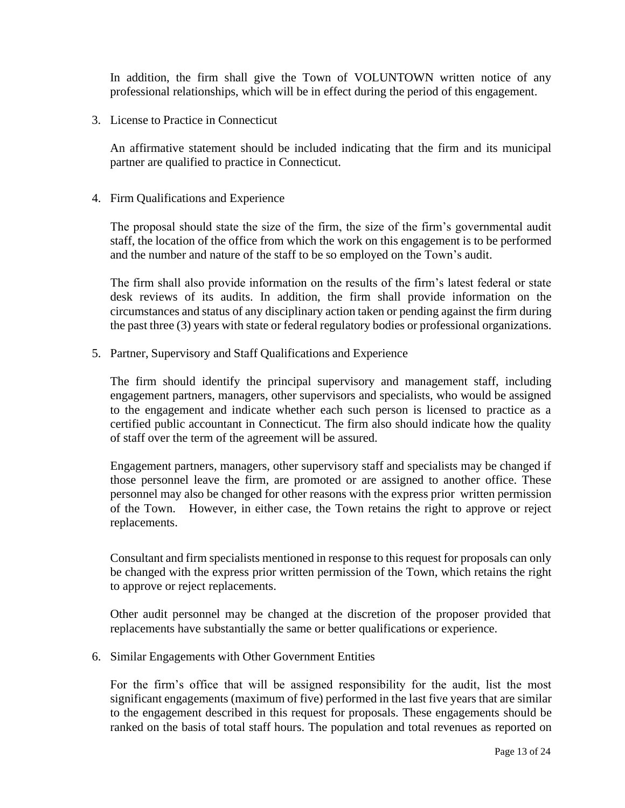In addition, the firm shall give the Town of VOLUNTOWN written notice of any professional relationships, which will be in effect during the period of this engagement.

3. License to Practice in Connecticut

An affirmative statement should be included indicating that the firm and its municipal partner are qualified to practice in Connecticut.

4. Firm Qualifications and Experience

The proposal should state the size of the firm, the size of the firm's governmental audit staff, the location of the office from which the work on this engagement is to be performed and the number and nature of the staff to be so employed on the Town's audit.

The firm shall also provide information on the results of the firm's latest federal or state desk reviews of its audits. In addition, the firm shall provide information on the circumstances and status of any disciplinary action taken or pending against the firm during the past three (3) years with state or federal regulatory bodies or professional organizations.

5. Partner, Supervisory and Staff Qualifications and Experience

The firm should identify the principal supervisory and management staff, including engagement partners, managers, other supervisors and specialists, who would be assigned to the engagement and indicate whether each such person is licensed to practice as a certified public accountant in Connecticut. The firm also should indicate how the quality of staff over the term of the agreement will be assured.

Engagement partners, managers, other supervisory staff and specialists may be changed if those personnel leave the firm, are promoted or are assigned to another office. These personnel may also be changed for other reasons with the express prior written permission of the Town. However, in either case, the Town retains the right to approve or reject replacements.

Consultant and firm specialists mentioned in response to this request for proposals can only be changed with the express prior written permission of the Town, which retains the right to approve or reject replacements.

Other audit personnel may be changed at the discretion of the proposer provided that replacements have substantially the same or better qualifications or experience.

6. Similar Engagements with Other Government Entities

For the firm's office that will be assigned responsibility for the audit, list the most significant engagements (maximum of five) performed in the last five years that are similar to the engagement described in this request for proposals. These engagements should be ranked on the basis of total staff hours. The population and total revenues as reported on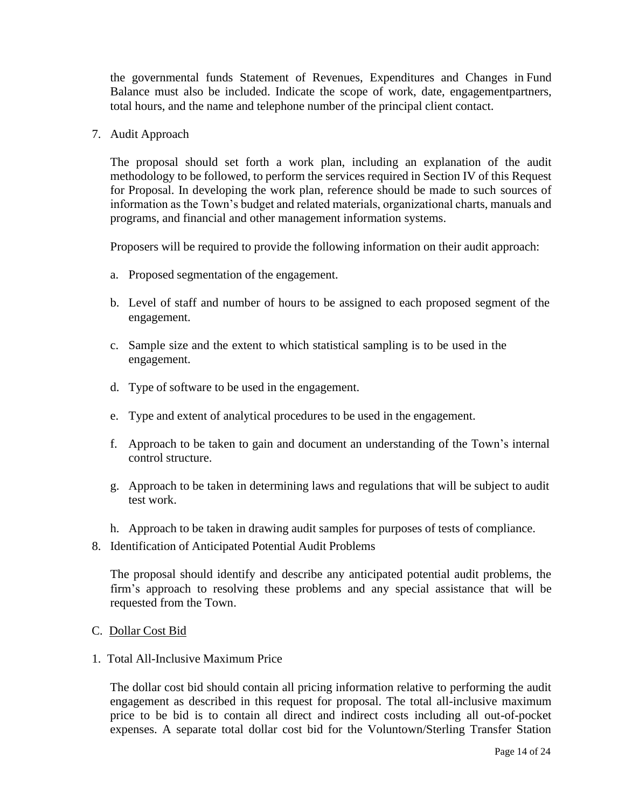the governmental funds Statement of Revenues, Expenditures and Changes in Fund Balance must also be included. Indicate the scope of work, date, engagementpartners, total hours, and the name and telephone number of the principal client contact.

7. Audit Approach

The proposal should set forth a work plan, including an explanation of the audit methodology to be followed, to perform the services required in Section IV of this Request for Proposal. In developing the work plan, reference should be made to such sources of information as the Town's budget and related materials, organizational charts, manuals and programs, and financial and other management information systems.

Proposers will be required to provide the following information on their audit approach:

- a. Proposed segmentation of the engagement.
- b. Level of staff and number of hours to be assigned to each proposed segment of the engagement.
- c. Sample size and the extent to which statistical sampling is to be used in the engagement.
- d. Type of software to be used in the engagement.
- e. Type and extent of analytical procedures to be used in the engagement.
- f. Approach to be taken to gain and document an understanding of the Town's internal control structure.
- g. Approach to be taken in determining laws and regulations that will be subject to audit test work.
- h. Approach to be taken in drawing audit samples for purposes of tests of compliance.
- 8. Identification of Anticipated Potential Audit Problems

The proposal should identify and describe any anticipated potential audit problems, the firm's approach to resolving these problems and any special assistance that will be requested from the Town.

- C. Dollar Cost Bid
- 1. Total All-Inclusive Maximum Price

The dollar cost bid should contain all pricing information relative to performing the audit engagement as described in this request for proposal. The total all-inclusive maximum price to be bid is to contain all direct and indirect costs including all out-of-pocket expenses. A separate total dollar cost bid for the Voluntown/Sterling Transfer Station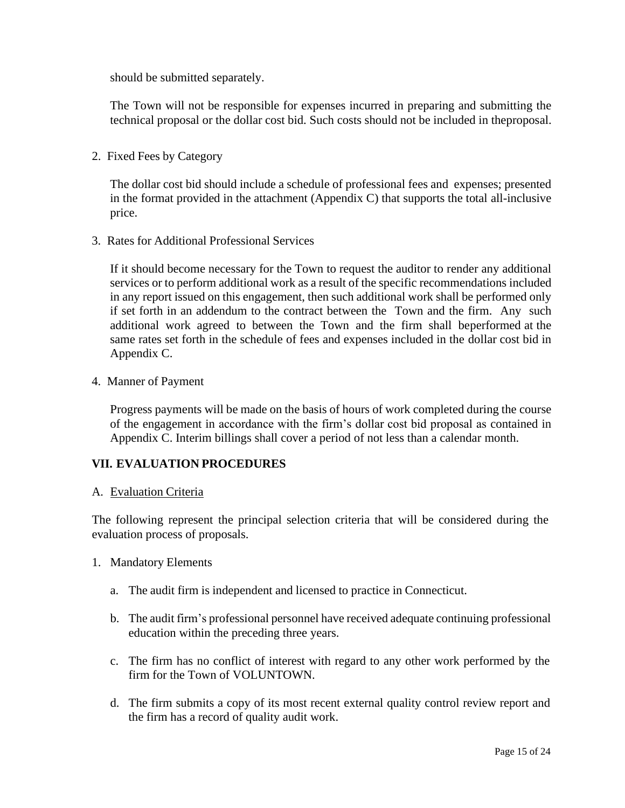should be submitted separately.

The Town will not be responsible for expenses incurred in preparing and submitting the technical proposal or the dollar cost bid. Such costs should not be included in theproposal.

2. Fixed Fees by Category

The dollar cost bid should include a schedule of professional fees and expenses; presented in the format provided in the attachment (Appendix C) that supports the total all-inclusive price.

3. Rates for Additional Professional Services

If it should become necessary for the Town to request the auditor to render any additional services or to perform additional work as a result of the specific recommendations included in any report issued on this engagement, then such additional work shall be performed only if set forth in an addendum to the contract between the Town and the firm. Any such additional work agreed to between the Town and the firm shall beperformed at the same rates set forth in the schedule of fees and expenses included in the dollar cost bid in Appendix C.

4. Manner of Payment

Progress payments will be made on the basis of hours of work completed during the course of the engagement in accordance with the firm's dollar cost bid proposal as contained in Appendix C. Interim billings shall cover a period of not less than a calendar month.

# **VII. EVALUATION PROCEDURES**

#### A. Evaluation Criteria

The following represent the principal selection criteria that will be considered during the evaluation process of proposals.

- 1. Mandatory Elements
	- a. The audit firm is independent and licensed to practice in Connecticut.
	- b. The audit firm's professional personnel have received adequate continuing professional education within the preceding three years.
	- c. The firm has no conflict of interest with regard to any other work performed by the firm for the Town of VOLUNTOWN.
	- d. The firm submits a copy of its most recent external quality control review report and the firm has a record of quality audit work.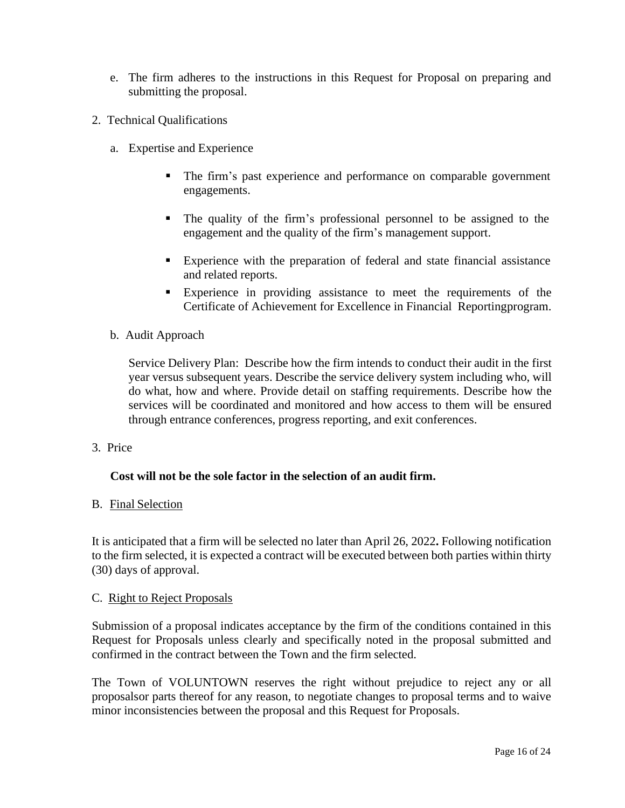- e. The firm adheres to the instructions in this Request for Proposal on preparing and submitting the proposal.
- 2. Technical Qualifications
	- a. Expertise and Experience
		- The firm's past experience and performance on comparable government engagements.
		- The quality of the firm's professional personnel to be assigned to the engagement and the quality of the firm's management support.
		- Experience with the preparation of federal and state financial assistance and related reports.
		- **Experience** in providing assistance to meet the requirements of the Certificate of Achievement for Excellence in Financial Reportingprogram.
	- b. Audit Approach

Service Delivery Plan: Describe how the firm intends to conduct their audit in the first year versus subsequent years. Describe the service delivery system including who, will do what, how and where. Provide detail on staffing requirements. Describe how the services will be coordinated and monitored and how access to them will be ensured through entrance conferences, progress reporting, and exit conferences.

3. Price

#### **Cost will not be the sole factor in the selection of an audit firm.**

#### B. Final Selection

It is anticipated that a firm will be selected no later than April 26, 2022**.** Following notification to the firm selected, it is expected a contract will be executed between both parties within thirty (30) days of approval.

#### C. Right to Reject Proposals

Submission of a proposal indicates acceptance by the firm of the conditions contained in this Request for Proposals unless clearly and specifically noted in the proposal submitted and confirmed in the contract between the Town and the firm selected.

The Town of VOLUNTOWN reserves the right without prejudice to reject any or all proposalsor parts thereof for any reason, to negotiate changes to proposal terms and to waive minor inconsistencies between the proposal and this Request for Proposals.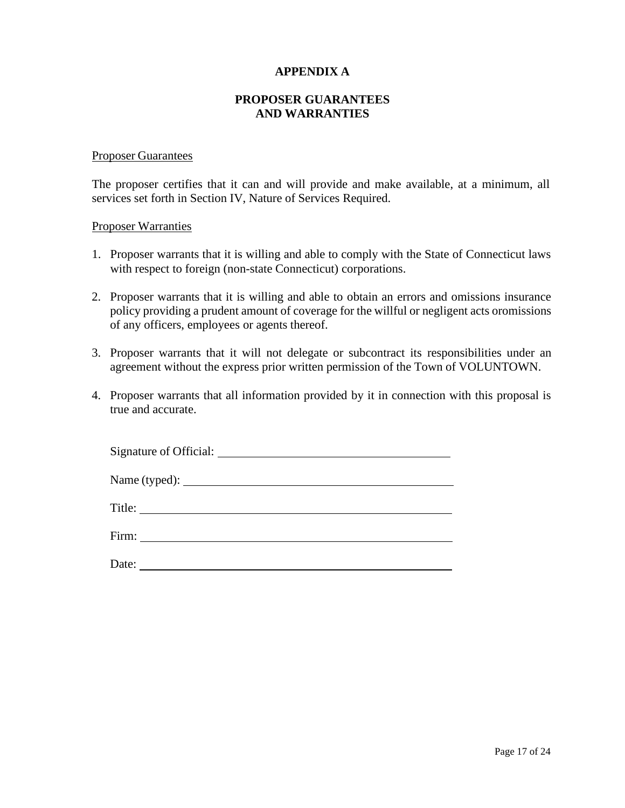#### **APPENDIX A**

#### **PROPOSER GUARANTEES AND WARRANTIES**

#### Proposer Guarantees

The proposer certifies that it can and will provide and make available, at a minimum, all services set forth in Section IV, Nature of Services Required.

#### Proposer Warranties

- 1. Proposer warrants that it is willing and able to comply with the State of Connecticut laws with respect to foreign (non-state Connecticut) corporations.
- 2. Proposer warrants that it is willing and able to obtain an errors and omissions insurance policy providing a prudent amount of coverage for the willful or negligent acts oromissions of any officers, employees or agents thereof.
- 3. Proposer warrants that it will not delegate or subcontract its responsibilities under an agreement without the express prior written permission of the Town of VOLUNTOWN.
- 4. Proposer warrants that all information provided by it in connection with this proposal is true and accurate.

| Date: |  |
|-------|--|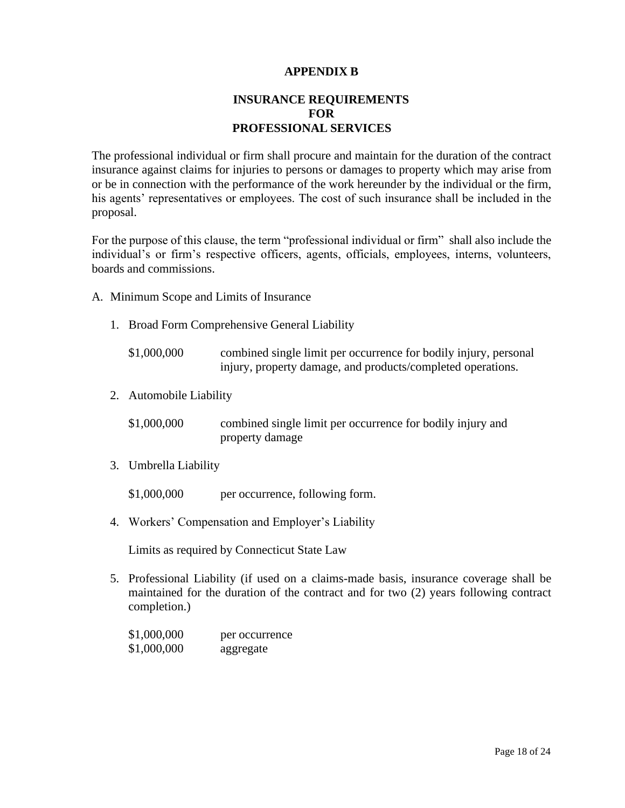### **APPENDIX B**

# **INSURANCE REQUIREMENTS FOR PROFESSIONAL SERVICES**

The professional individual or firm shall procure and maintain for the duration of the contract insurance against claims for injuries to persons or damages to property which may arise from or be in connection with the performance of the work hereunder by the individual or the firm, his agents' representatives or employees. The cost of such insurance shall be included in the proposal.

For the purpose of this clause, the term "professional individual or firm" shall also include the individual's or firm's respective officers, agents, officials, employees, interns, volunteers, boards and commissions.

- A. Minimum Scope and Limits of Insurance
	- 1. Broad Form Comprehensive General Liability
		- \$1,000,000 combined single limit per occurrence for bodily injury, personal injury, property damage, and products/completed operations.
	- 2. Automobile Liability

| \$1,000,000 | combined single limit per occurrence for bodily injury and |
|-------------|------------------------------------------------------------|
|             | property damage                                            |

3. Umbrella Liability

\$1,000,000 per occurrence, following form.

4. Workers' Compensation and Employer's Liability

Limits as required by Connecticut State Law

5. Professional Liability (if used on a claims-made basis, insurance coverage shall be maintained for the duration of the contract and for two (2) years following contract completion.)

| \$1,000,000 | per occurrence |
|-------------|----------------|
| \$1,000,000 | aggregate      |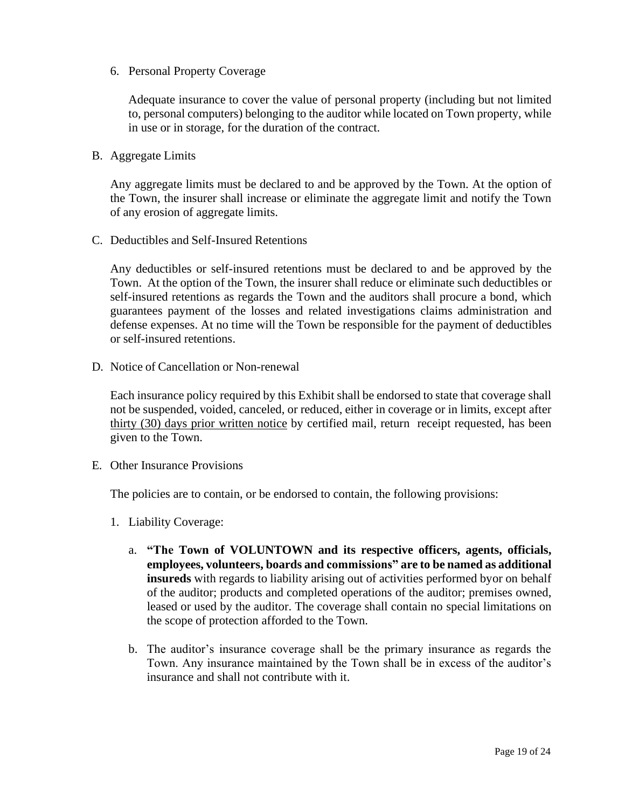6. Personal Property Coverage

Adequate insurance to cover the value of personal property (including but not limited to, personal computers) belonging to the auditor while located on Town property, while in use or in storage, for the duration of the contract.

B. Aggregate Limits

Any aggregate limits must be declared to and be approved by the Town. At the option of the Town, the insurer shall increase or eliminate the aggregate limit and notify the Town of any erosion of aggregate limits.

C. Deductibles and Self-Insured Retentions

Any deductibles or self-insured retentions must be declared to and be approved by the Town. At the option of the Town, the insurer shall reduce or eliminate such deductibles or self-insured retentions as regards the Town and the auditors shall procure a bond, which guarantees payment of the losses and related investigations claims administration and defense expenses. At no time will the Town be responsible for the payment of deductibles or self-insured retentions.

D. Notice of Cancellation or Non-renewal

Each insurance policy required by this Exhibit shall be endorsed to state that coverage shall not be suspended, voided, canceled, or reduced, either in coverage or in limits, except after thirty (30) days prior written notice by certified mail, return receipt requested, has been given to the Town.

E. Other Insurance Provisions

The policies are to contain, or be endorsed to contain, the following provisions:

- 1. Liability Coverage:
	- a. **"The Town of VOLUNTOWN and its respective officers, agents, officials, employees, volunteers, boards and commissions" are to be named as additional insureds** with regards to liability arising out of activities performed byor on behalf of the auditor; products and completed operations of the auditor; premises owned, leased or used by the auditor. The coverage shall contain no special limitations on the scope of protection afforded to the Town.
	- b. The auditor's insurance coverage shall be the primary insurance as regards the Town. Any insurance maintained by the Town shall be in excess of the auditor's insurance and shall not contribute with it.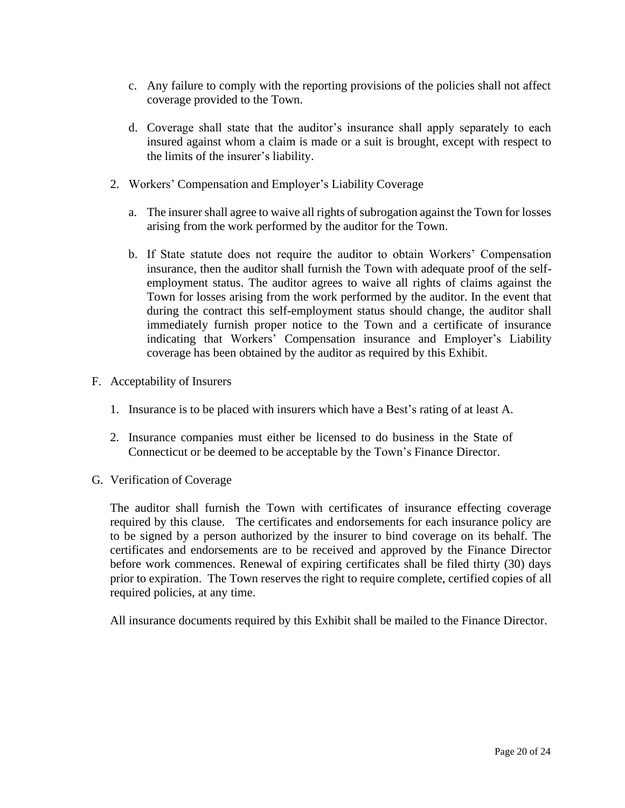- c. Any failure to comply with the reporting provisions of the policies shall not affect coverage provided to the Town.
- d. Coverage shall state that the auditor's insurance shall apply separately to each insured against whom a claim is made or a suit is brought, except with respect to the limits of the insurer's liability.
- 2. Workers' Compensation and Employer's Liability Coverage
	- a. The insurer shall agree to waive all rights of subrogation against the Town for losses arising from the work performed by the auditor for the Town.
	- b. If State statute does not require the auditor to obtain Workers' Compensation insurance, then the auditor shall furnish the Town with adequate proof of the selfemployment status. The auditor agrees to waive all rights of claims against the Town for losses arising from the work performed by the auditor. In the event that during the contract this self-employment status should change, the auditor shall immediately furnish proper notice to the Town and a certificate of insurance indicating that Workers' Compensation insurance and Employer's Liability coverage has been obtained by the auditor as required by this Exhibit.
- F. Acceptability of Insurers
	- 1. Insurance is to be placed with insurers which have a Best's rating of at least A.
	- 2. Insurance companies must either be licensed to do business in the State of Connecticut or be deemed to be acceptable by the Town's Finance Director.
- G. Verification of Coverage

The auditor shall furnish the Town with certificates of insurance effecting coverage required by this clause. The certificates and endorsements for each insurance policy are to be signed by a person authorized by the insurer to bind coverage on its behalf. The certificates and endorsements are to be received and approved by the Finance Director before work commences. Renewal of expiring certificates shall be filed thirty (30) days prior to expiration. The Town reserves the right to require complete, certified copies of all required policies, at any time.

All insurance documents required by this Exhibit shall be mailed to the Finance Director.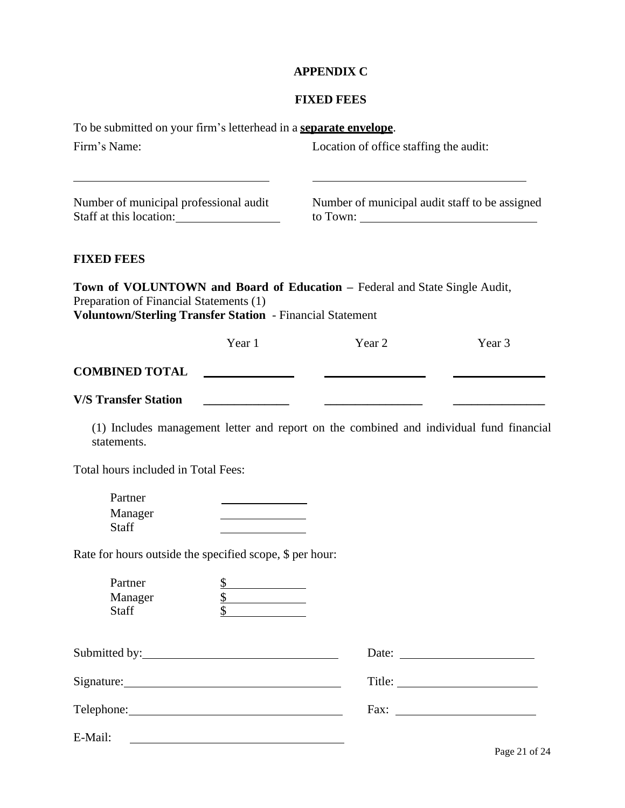# **APPENDIX C**

# **FIXED FEES**

| To be submitted on your firm's letterhead in a <b>separate envelope</b> .                            |                                                                               |                                                                                         |        |
|------------------------------------------------------------------------------------------------------|-------------------------------------------------------------------------------|-----------------------------------------------------------------------------------------|--------|
| Firm's Name:                                                                                         |                                                                               | Location of office staffing the audit:                                                  |        |
| Number of municipal professional audit<br>Staff at this location:                                    |                                                                               | Number of municipal audit staff to be assigned                                          |        |
| <b>FIXED FEES</b>                                                                                    |                                                                               |                                                                                         |        |
| Preparation of Financial Statements (1)<br>Voluntown/Sterling Transfer Station - Financial Statement |                                                                               | Town of VOLUNTOWN and Board of Education - Federal and State Single Audit,              |        |
|                                                                                                      | Year 1                                                                        | Year <sub>2</sub>                                                                       | Year 3 |
| <b>COMBINED TOTAL</b>                                                                                |                                                                               |                                                                                         |        |
| <b>V/S Transfer Station</b>                                                                          |                                                                               |                                                                                         |        |
| statements.                                                                                          |                                                                               | (1) Includes management letter and report on the combined and individual fund financial |        |
| Total hours included in Total Fees:                                                                  |                                                                               |                                                                                         |        |
| Partner<br>Manager<br><b>Staff</b>                                                                   |                                                                               |                                                                                         |        |
| Rate for hours outside the specified scope, \$ per hour:                                             |                                                                               |                                                                                         |        |
| Partner<br>Manager<br>Staff                                                                          | $\frac{1}{2}$<br>$\overline{\mathbb{S}}$<br><b>Contract Contract Contract</b> |                                                                                         |        |
| Submitted by: 1988                                                                                   |                                                                               |                                                                                         |        |
|                                                                                                      |                                                                               |                                                                                         |        |
|                                                                                                      |                                                                               |                                                                                         |        |
| E-Mail:                                                                                              |                                                                               |                                                                                         |        |